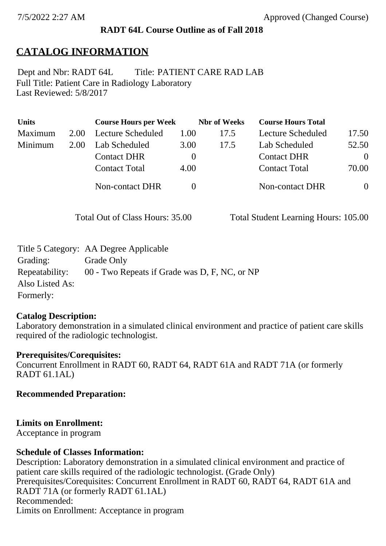## **RADT 64L Course Outline as of Fall 2018**

# **CATALOG INFORMATION**

Full Title: Patient Care in Radiology Laboratory Last Reviewed: 5/8/2017 Dept and Nbr: RADT 64L Title: PATIENT CARE RAD LAB

| <b>Units</b> |      | <b>Course Hours per Week</b> |              | <b>Nbr</b> of Weeks | <b>Course Hours Total</b> |          |
|--------------|------|------------------------------|--------------|---------------------|---------------------------|----------|
| Maximum      | 2.00 | Lecture Scheduled            | 1.00         | 17.5                | Lecture Scheduled         | 17.50    |
| Minimum      | 2.00 | Lab Scheduled                | 3.00         | 17.5                | Lab Scheduled             | 52.50    |
|              |      | <b>Contact DHR</b>           | $\theta$     |                     | <b>Contact DHR</b>        | $\Omega$ |
|              |      | <b>Contact Total</b>         | 4.00         |                     | <b>Contact Total</b>      | 70.00    |
|              |      | Non-contact DHR              | $\mathbf{0}$ |                     | Non-contact DHR           | $\theta$ |

Total Out of Class Hours: 35.00 Total Student Learning Hours: 105.00

|                 | Title 5 Category: AA Degree Applicable        |
|-----------------|-----------------------------------------------|
| Grading:        | Grade Only                                    |
| Repeatability:  | 00 - Two Repeats if Grade was D, F, NC, or NP |
| Also Listed As: |                                               |
| Formerly:       |                                               |

## **Catalog Description:**

Laboratory demonstration in a simulated clinical environment and practice of patient care skills required of the radiologic technologist.

## **Prerequisites/Corequisites:**

Concurrent Enrollment in RADT 60, RADT 64, RADT 61A and RADT 71A (or formerly RADT 61.1AL)

**Recommended Preparation:**

## **Limits on Enrollment:**

Acceptance in program

## **Schedule of Classes Information:**

Description: Laboratory demonstration in a simulated clinical environment and practice of patient care skills required of the radiologic technologist. (Grade Only) Prerequisites/Corequisites: Concurrent Enrollment in RADT 60, RADT 64, RADT 61A and RADT 71A (or formerly RADT 61.1AL) Recommended: Limits on Enrollment: Acceptance in program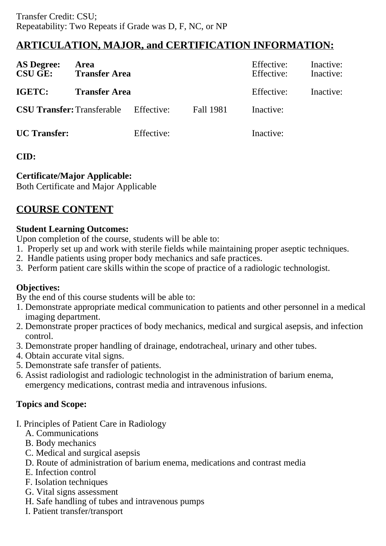## **ARTICULATION, MAJOR, and CERTIFICATION INFORMATION:**

| <b>AS Degree:</b><br><b>CSU GE:</b> | Area<br><b>Transfer Area</b> |            |                  | Effective:<br>Effective: | Inactive:<br>Inactive: |
|-------------------------------------|------------------------------|------------|------------------|--------------------------|------------------------|
| <b>IGETC:</b>                       | <b>Transfer Area</b>         |            |                  | Effective:               | Inactive:              |
| <b>CSU Transfer: Transferable</b>   |                              | Effective: | <b>Fall 1981</b> | Inactive:                |                        |
| <b>UC</b> Transfer:                 |                              | Effective: |                  | Inactive:                |                        |

#### **CID:**

#### **Certificate/Major Applicable:**

[Both Certificate and Major Applicable](SR_ClassCheck.aspx?CourseKey=RADT64L)

# **COURSE CONTENT**

#### **Student Learning Outcomes:**

Upon completion of the course, students will be able to:

- 1. Properly set up and work with sterile fields while maintaining proper aseptic techniques.
- 2. Handle patients using proper body mechanics and safe practices.
- 3. Perform patient care skills within the scope of practice of a radiologic technologist.

## **Objectives:**

By the end of this course students will be able to:

- 1. Demonstrate appropriate medical communication to patients and other personnel in a medical imaging department.
- 2. Demonstrate proper practices of body mechanics, medical and surgical asepsis, and infection control.
- 3. Demonstrate proper handling of drainage, endotracheal, urinary and other tubes.
- 4. Obtain accurate vital signs.
- 5. Demonstrate safe transfer of patients.
- 6. Assist radiologist and radiologic technologist in the administration of barium enema, emergency medications, contrast media and intravenous infusions.

## **Topics and Scope:**

- I. Principles of Patient Care in Radiology
	- A. Communications
	- B. Body mechanics
	- C. Medical and surgical asepsis
	- D. Route of administration of barium enema, medications and contrast media
	- E. Infection control
	- F. Isolation techniques
	- G. Vital signs assessment
	- H. Safe handling of tubes and intravenous pumps
	- I. Patient transfer/transport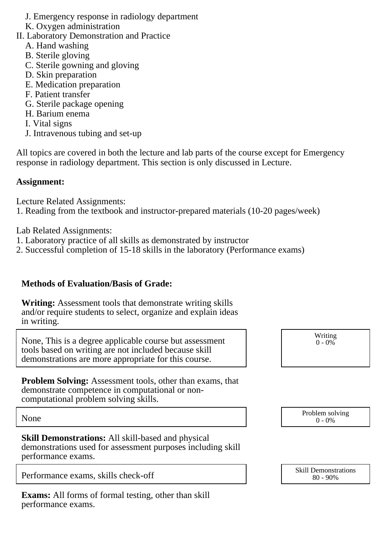- J. Emergency response in radiology department
- K. Oxygen administration
- II. Laboratory Demonstration and Practice
	- A. Hand washing
	- B. Sterile gloving
	- C. Sterile gowning and gloving
	- D. Skin preparation
	- E. Medication preparation
	- F. Patient transfer
	- G. Sterile package opening
	- H. Barium enema
	- I. Vital signs
	- J. Intravenous tubing and set-up

All topics are covered in both the lecture and lab parts of the course except for Emergency response in radiology department. This section is only discussed in Lecture.

#### **Assignment:**

Lecture Related Assignments:

1. Reading from the textbook and instructor-prepared materials (10-20 pages/week)

Lab Related Assignments:

- 1. Laboratory practice of all skills as demonstrated by instructor
- 2. Successful completion of 15-18 skills in the laboratory (Performance exams)

#### **Methods of Evaluation/Basis of Grade:**

**Writing:** Assessment tools that demonstrate writing skills and/or require students to select, organize and explain ideas in writing.

None, This is a degree applicable course but assessment tools based on writing are not included because skill demonstrations are more appropriate for this course.

Writing  $0 - 0\%$ 

**Problem Solving:** Assessment tools, other than exams, that demonstrate competence in computational or noncomputational problem solving skills.

None Problem solving and the Problem solving problem solving and the Problem solving problem solving  $0 - 0\%$ 

**Skill Demonstrations:** All skill-based and physical demonstrations used for assessment purposes including skill performance exams.

|                                     | <b>Skill Demonstrations</b> |  |
|-------------------------------------|-----------------------------|--|
| Performance exams, skills check-off | $80 - 90\%$                 |  |

**Exams:** All forms of formal testing, other than skill performance exams.

80 - 90%

 $0 - 0\%$